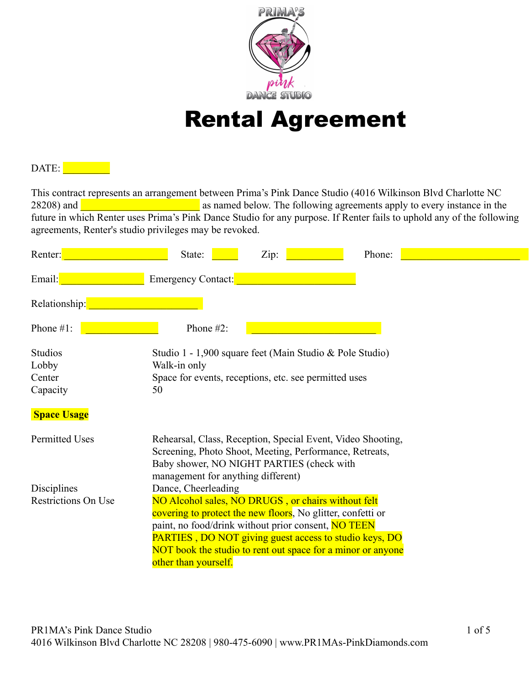

# Rental Agreement

## DATE:

This contract represents an arrangement between Prima's Pink Dance Studio (4016 Wilkinson Blvd Charlotte NC 28208) and **Election 28208** as named below. The following agreements apply to every instance in the future in which Renter uses Prima's Pink Dance Studio for any purpose. If Renter fails to uphold any of the following agreements, Renter's studio privileges may be revoked.

| Renter:                                       | Zip:<br>State:<br>Phone:                                                                                                                                                                                                                                                                                                                                 |
|-----------------------------------------------|----------------------------------------------------------------------------------------------------------------------------------------------------------------------------------------------------------------------------------------------------------------------------------------------------------------------------------------------------------|
| Email:                                        | Emergency Contact:                                                                                                                                                                                                                                                                                                                                       |
| Relationship:                                 |                                                                                                                                                                                                                                                                                                                                                          |
| Phone $#1$ :                                  | Phone $#2$ :                                                                                                                                                                                                                                                                                                                                             |
| <b>Studios</b><br>Lobby<br>Center<br>Capacity | Studio 1 - 1,900 square feet (Main Studio & Pole Studio)<br>Walk-in only<br>Space for events, receptions, etc. see permitted uses<br>50                                                                                                                                                                                                                  |
| <b>Space Usage</b>                            |                                                                                                                                                                                                                                                                                                                                                          |
| Permitted Uses                                | Rehearsal, Class, Reception, Special Event, Video Shooting,<br>Screening, Photo Shoot, Meeting, Performance, Retreats,<br>Baby shower, NO NIGHT PARTIES (check with<br>management for anything different)                                                                                                                                                |
| Disciplines<br>Restrictions On Use            | Dance, Cheerleading<br>NO Alcohol sales, NO DRUGS, or chairs without felt<br>covering to protect the new floors. No glitter, confetti or<br>paint, no food/drink without prior consent, NO TEEN<br><b>PARTIES</b> , DO NOT giving guest access to studio keys, DO<br>NOT book the studio to rent out space for a minor or anyone<br>other than yourself. |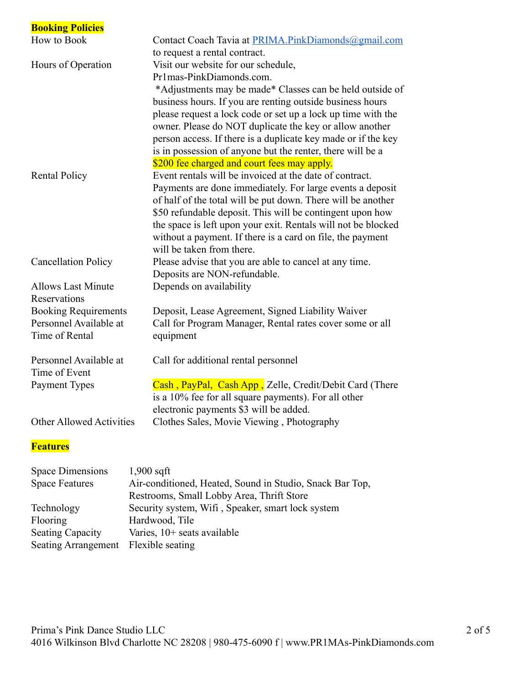| <b>Booking Policies</b>         |                                                               |
|---------------------------------|---------------------------------------------------------------|
| How to Book                     | Contact Coach Tavia at PRIMA.PinkDiamonds@gmail.com           |
|                                 | to request a rental contract.                                 |
| Hours of Operation              | Visit our website for our schedule,                           |
|                                 | Pr1mas-PinkDiamonds.com.                                      |
|                                 | *Adjustments may be made* Classes can be held outside of      |
|                                 | business hours. If you are renting outside business hours     |
|                                 | please request a lock code or set up a lock up time with the  |
|                                 | owner. Please do NOT duplicate the key or allow another       |
|                                 | person access. If there is a duplicate key made or if the key |
|                                 | is in possession of anyone but the renter, there will be a    |
|                                 | \$200 fee charged and court fees may apply.                   |
| <b>Rental Policy</b>            | Event rentals will be invoiced at the date of contract.       |
|                                 | Payments are done immediately. For large events a deposit     |
|                                 | of half of the total will be put down. There will be another  |
|                                 | \$50 refundable deposit. This will be contingent upon how     |
|                                 | the space is left upon your exit. Rentals will not be blocked |
|                                 | without a payment. If there is a card on file, the payment    |
|                                 | will be taken from there.                                     |
| <b>Cancellation Policy</b>      | Please advise that you are able to cancel at any time.        |
| <b>Allows Last Minute</b>       | Deposits are NON-refundable.<br>Depends on availability       |
| Reservations                    |                                                               |
| <b>Booking Requirements</b>     | Deposit, Lease Agreement, Signed Liability Waiver             |
| Personnel Available at          | Call for Program Manager, Rental rates cover some or all      |
| Time of Rental                  | equipment                                                     |
|                                 |                                                               |
| Personnel Available at          | Call for additional rental personnel                          |
| Time of Event                   |                                                               |
| Payment Types                   | Cash, PayPal, Cash App, Zelle, Credit/Debit Card (There       |
|                                 | is a 10% fee for all square payments). For all other          |
|                                 | electronic payments \$3 will be added.                        |
| <b>Other Allowed Activities</b> | Clothes Sales, Movie Viewing, Photography                     |
|                                 |                                                               |
| <b>Features</b>                 |                                                               |

| <b>Space Dimensions</b>              | $1,900$ sqft                                             |  |
|--------------------------------------|----------------------------------------------------------|--|
| <b>Space Features</b>                | Air-conditioned, Heated, Sound in Studio, Snack Bar Top, |  |
|                                      | Restrooms, Small Lobby Area, Thrift Store                |  |
| Technology                           | Security system, Wifi, Speaker, smart lock system        |  |
| Flooring                             | Hardwood, Tile                                           |  |
| <b>Seating Capacity</b>              | Varies, $10+$ seats available                            |  |
| Seating Arrangement Flexible seating |                                                          |  |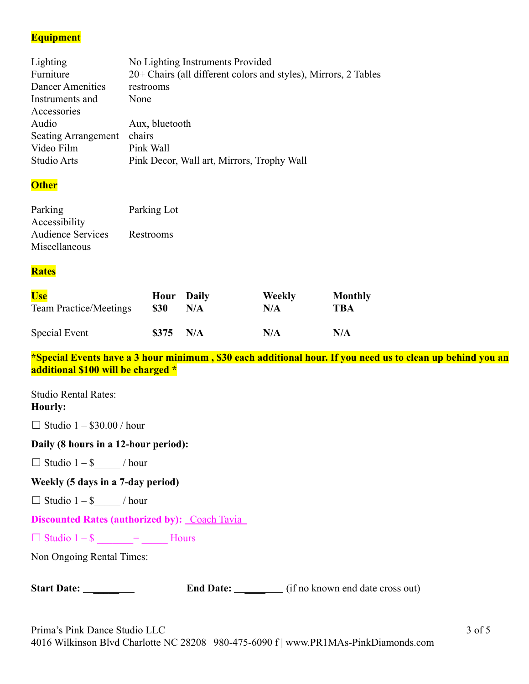## **Equipment**

| No Lighting Instruments Provided                                |
|-----------------------------------------------------------------|
| 20+ Chairs (all different colors and styles), Mirrors, 2 Tables |
| restrooms                                                       |
| None                                                            |
|                                                                 |
| Aux, bluetooth                                                  |
| chairs<br><b>Seating Arrangement</b>                            |
| Pink Wall                                                       |
| Pink Decor, Wall art, Mirrors, Trophy Wall                      |
|                                                                 |

### **Other**

| Parking                  | Parking Lot |
|--------------------------|-------------|
| Accessibility            |             |
| <b>Audience Services</b> | Restrooms   |
| Miscellaneous            |             |

### **Rates**

| Use                           | <b>Hour</b> Daily | N/A | <b>Weekly</b> | <b>Monthly</b> |
|-------------------------------|-------------------|-----|---------------|----------------|
| <b>Team Practice/Meetings</b> | <b>\$30</b>       |     | N/A           | TBA            |
| Special Event                 | $$375$ N/A        |     | N/A           | N/A            |

**\*Special Events have a 3 hour minimum , \$30 each additional hour. If you need us to clean up behind you an additional \$100 will be charged \***

Studio Rental Rates: **Hourly:**

 $\Box$  Studio 1 – \$30.00 / hour

### **Daily (8 hours in a 12-hour period):**

 $\Box$  Studio  $1 - \$\_$  / hour

**Weekly (5 days in a 7-day period)**

 $\Box$  Studio 1 – \$\_\_\_\_\_ / hour

**Discounted Rates (authorized by):** Coach Tavia

 $\Box$  Studio 1 – \$  $\qquad$  =  $\qquad$  Hours

Non Ongoing Rental Times:

| <b>Start Date:</b> |  |
|--------------------|--|
|--------------------|--|

**End Date:** \_\_\_\_\_\_\_\_ (if no known end date cross out)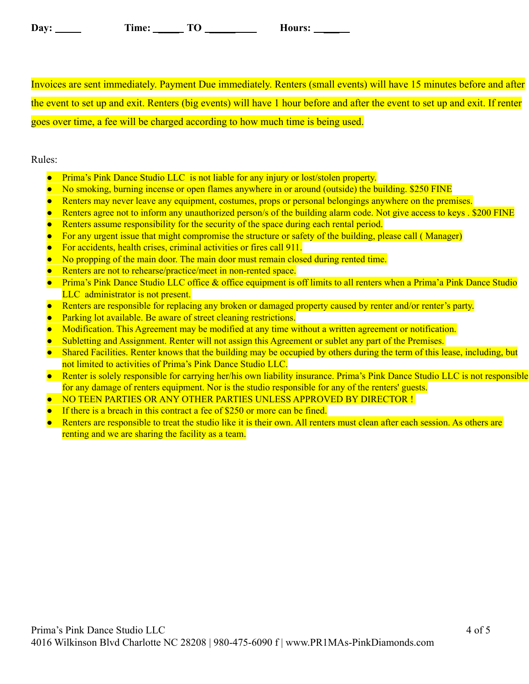| Dav: | ime: | — <u>— </u> | <b>Aours:</b> |
|------|------|-------------|---------------|
|      |      | ∼           |               |

Invoices are sent immediately. Payment Due immediately. Renters (small events) will have 15 minutes before and after the event to set up and exit. Renters (big events) will have 1 hour before and after the event to set up and exit. If renter goes over time, a fee will be charged according to how much time is being used.

#### Rules:

- Prima's Pink Dance Studio LLC is not liable for any injury or lost/stolen property.
- No smoking, burning incense or open flames anywhere in or around (outside) the building. \$250 FINE
- Renters may never leave any equipment, costumes, props or personal belongings anywhere on the premises.
- Renters agree not to inform any unauthorized person/s of the building alarm code. Not give access to keys . \$200 FINE
- Renters assume responsibility for the security of the space during each rental period.
- For any urgent issue that might compromise the structure or safety of the building, please call (Manager)
- For accidents, health crises, criminal activities or fires call 911.
- No propping of the main door. The main door must remain closed during rented time.
- Renters are not to rehearse/practice/meet in non-rented space.
- Prima's Pink Dance Studio LLC office & office equipment is off limits to all renters when a Prima'a Pink Dance Studio LLC administrator is not present.
- Renters are responsible for replacing any broken or damaged property caused by renter and/or renter's party.
- **•** Parking lot available. Be aware of street cleaning restrictions.
- Modification. This Agreement may be modified at any time without a written agreement or notification.
- Subletting and Assignment. Renter will not assign this Agreement or sublet any part of the Premises.
- Shared Facilities. Renter knows that the building may be occupied by others during the term of this lease, including, but not limited to activities of Prima's Pink Dance Studio LLC.
- Renter is solely responsible for carrying her/his own liability insurance. Prima's Pink Dance Studio LLC is not responsible for any damage of renters equipment. Nor is the studio responsible for any of the renters' guests.
- NO TEEN PARTIES OR ANY OTHER PARTIES UNLESS APPROVED BY DIRECTOR !
- If there is a breach in this contract a fee of \$250 or more can be fined.
- Renters are responsible to treat the studio like it is their own. All renters must clean after each session. As others are renting and we are sharing the facility as a team.